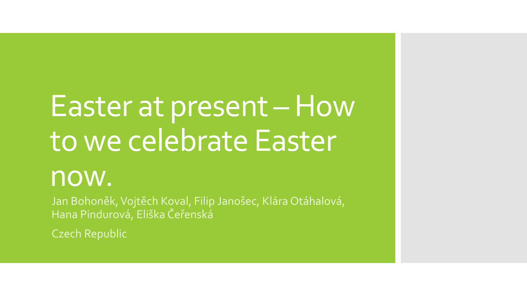# Easter at present –How to we celebrate Easter

### now.

Jan Bohoněk, Vojtěch Koval, Filip Janošec, Klára Otáhalová, Hana Pindurová, Eliška Čeřenská

Czech Republic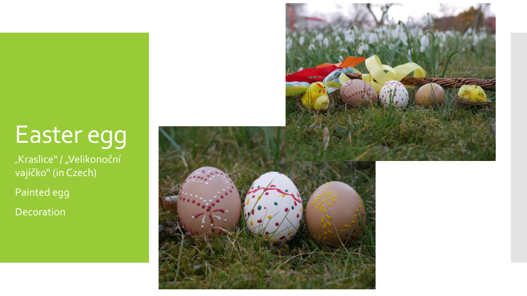## Easter egg

| "Kraslice" / "Velikonoční " vajíčko" (in Czech)

Painted egg

Decoration

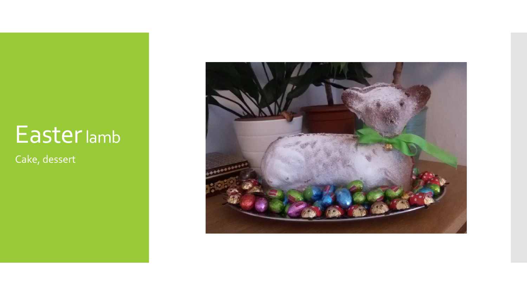### Easterlamb

Cake, dessert

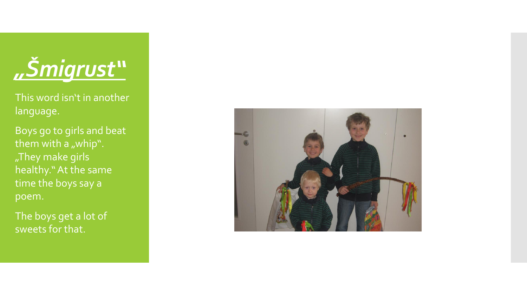

This word isn't in another language.

Boys go to girls and beat them with a "whip". "They make girls healthy." At the same time the boys say a poem.

The boys get a lot of sweets for that.

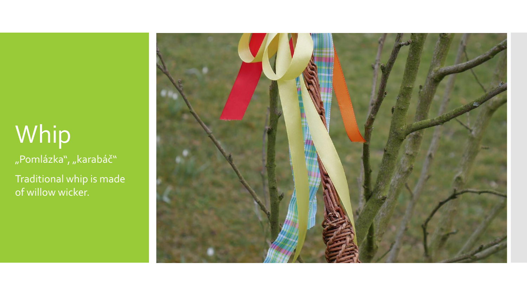## Whip

"Pomlázka", "karabáč"

Traditional whip is made of willow wicker.

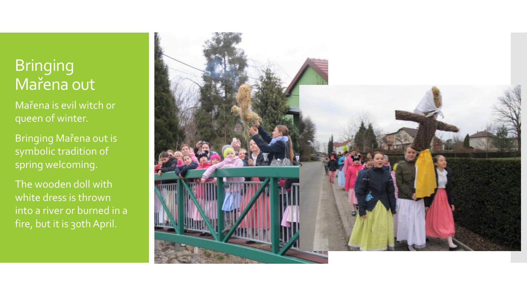#### **Bringing** Mařena out

- Mařena is evil witch or queen of winter.
- Bringing Mařena out is symbolic tradition of spring welcoming.
- The wooden doll with white dress is thrown into a river or burned in a fire, but it is 30th April.

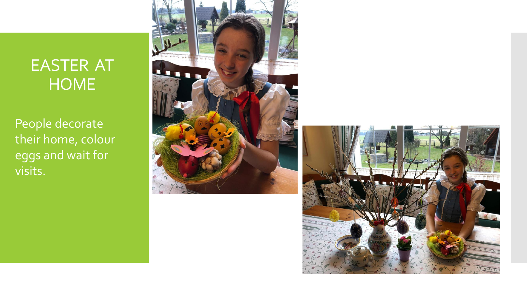### EASTER AT **HOME**

People decorate their home, colour eggs and wait for visits.



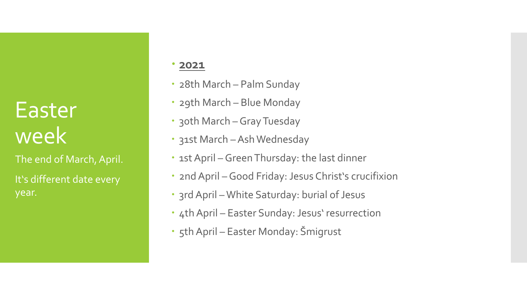### Easter week

The end of March, April. It's different date every year.

#### **2021**

- 28th March Palm Sunday
- 29th March Blue Monday
- 30th March Gray Tuesday
- 31st March –Ash Wednesday
- 1st April Green Thursday: the last dinner
- 2nd April Good Friday: Jesus Christ's crucifixion
- 3rd April White Saturday: burial of Jesus
- 4th April Easter Sunday: Jesus' resurrection
- 5th April Easter Monday: Šmigrust